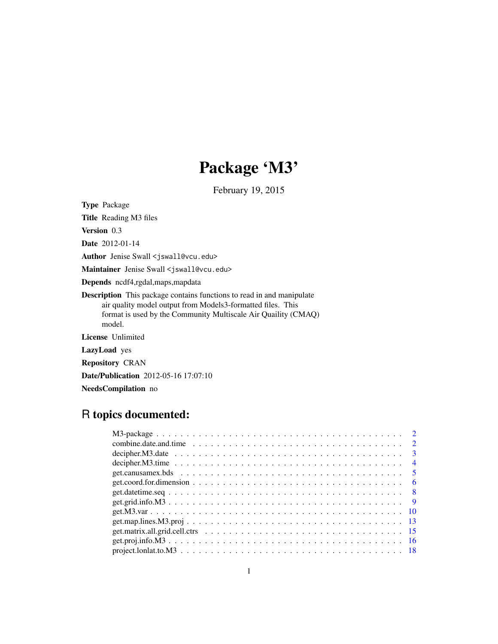## Package 'M3'

February 19, 2015

<span id="page-0-0"></span>Type Package

Title Reading M3 files Version 0.3 Date 2012-01-14 Author Jenise Swall <jswall@vcu.edu> Maintainer Jenise Swall <jswall@vcu.edu> Depends ncdf4,rgdal,maps,mapdata Description This package contains functions to read in and manipulate air quality model output from Models3-formatted files. This format is used by the Community Multiscale Air Quaility (CMAQ) model. License Unlimited LazyLoad yes Repository CRAN Date/Publication 2012-05-16 17:07:10 NeedsCompilation no

### R topics documented:

| combine.date.and.time $\ldots \ldots \ldots \ldots \ldots \ldots \ldots \ldots \ldots \ldots \ldots \ldots 2$ |                |
|---------------------------------------------------------------------------------------------------------------|----------------|
|                                                                                                               |                |
|                                                                                                               | $\overline{4}$ |
|                                                                                                               |                |
|                                                                                                               | - 6            |
|                                                                                                               |                |
|                                                                                                               |                |
|                                                                                                               |                |
|                                                                                                               |                |
|                                                                                                               |                |
|                                                                                                               |                |
|                                                                                                               |                |
|                                                                                                               |                |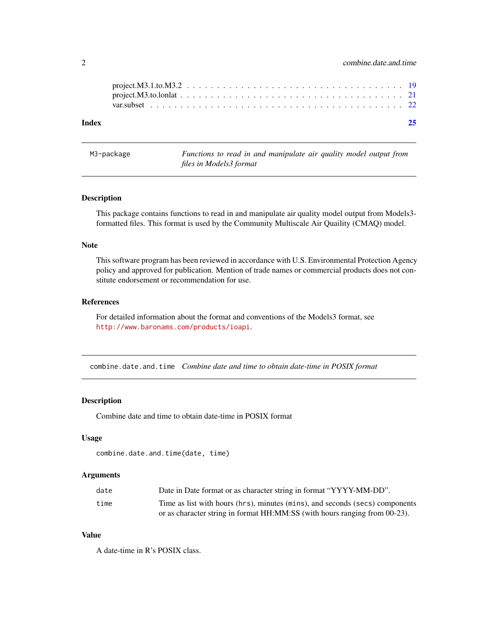<span id="page-1-0"></span>

| Index |  |  |  |  |  |  |  |  |  |  |  |  |  |  |  |  |  |  |
|-------|--|--|--|--|--|--|--|--|--|--|--|--|--|--|--|--|--|--|
|       |  |  |  |  |  |  |  |  |  |  |  |  |  |  |  |  |  |  |

| M3-package | Functions to read in and manipulate air quality model output from |
|------------|-------------------------------------------------------------------|
|            | files in Models3 format                                           |

#### Description

This package contains functions to read in and manipulate air quality model output from Models3 formatted files. This format is used by the Community Multiscale Air Quaility (CMAQ) model.

#### Note

This software program has been reviewed in accordance with U.S. Environmental Protection Agency policy and approved for publication. Mention of trade names or commercial products does not constitute endorsement or recommendation for use.

#### References

For detailed information about the format and conventions of the Models3 format, see <http://www.baronams.com/products/ioapi>.

<span id="page-1-1"></span>combine.date.and.time *Combine date and time to obtain date-time in POSIX format*

#### Description

Combine date and time to obtain date-time in POSIX format

#### Usage

combine.date.and.time(date, time)

#### Arguments

| date | Date in Date format or as character string in format "YYYY-MM-DD".           |
|------|------------------------------------------------------------------------------|
| time | Time as list with hours (hrs), minutes (mins), and seconds (secs) components |
|      | or as character string in format HH:MM:SS (with hours ranging from 00-23).   |

#### Value

A date-time in R's POSIX class.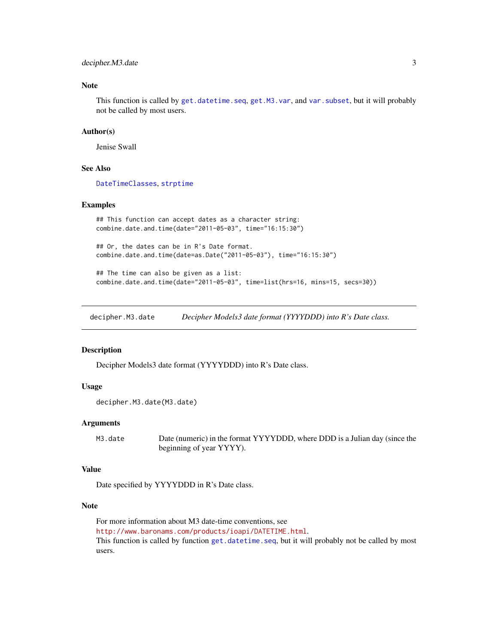#### <span id="page-2-0"></span>decipher.M3.date 3

#### Note

This function is called by [get.datetime.seq](#page-7-1), [get.M3.var](#page-9-1), and [var.subset](#page-21-1), but it will probably not be called by most users.

#### Author(s)

Jenise Swall

#### See Also

[DateTimeClasses](#page-0-0), [strptime](#page-0-0)

#### Examples

```
## This function can accept dates as a character string:
combine.date.and.time(date="2011-05-03", time="16:15:30")
```
## Or, the dates can be in R's Date format. combine.date.and.time(date=as.Date("2011-05-03"), time="16:15:30")

## The time can also be given as a list: combine.date.and.time(date="2011-05-03", time=list(hrs=16, mins=15, secs=30))

<span id="page-2-1"></span>decipher.M3.date *Decipher Models3 date format (YYYYDDD) into R's Date class.*

#### Description

Decipher Models3 date format (YYYYDDD) into R's Date class.

#### Usage

```
decipher.M3.date(M3.date)
```
#### Arguments

M3.date Date (numeric) in the format YYYYDDD, where DDD is a Julian day (since the beginning of year YYYY).

#### Value

Date specified by YYYYDDD in R's Date class.

#### Note

For more information about M3 date-time conventions, see <http://www.baronams.com/products/ioapi/DATETIME.html>. This function is called by function [get.datetime.seq](#page-7-1), but it will probably not be called by most users.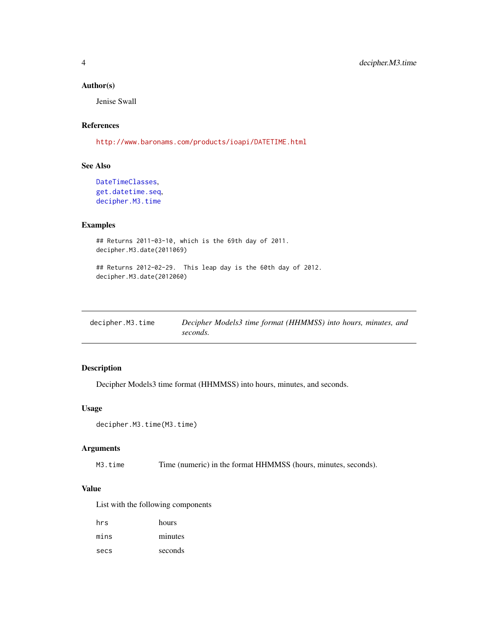#### <span id="page-3-0"></span>Author(s)

Jenise Swall

### References

<http://www.baronams.com/products/ioapi/DATETIME.html>

#### See Also

```
DateTimeClasses,
get.datetime.seq,
decipher.M3.time
```
#### Examples

```
## Returns 2011-03-10, which is the 69th day of 2011.
decipher.M3.date(2011069)
```

```
## Returns 2012-02-29. This leap day is the 60th day of 2012.
decipher.M3.date(2012060)
```
<span id="page-3-1"></span>

| decipher.M3.time | Decipher Models3 time format (HHMMSS) into hours, minutes, and |  |
|------------------|----------------------------------------------------------------|--|
|                  | seconds.                                                       |  |

#### Description

Decipher Models3 time format (HHMMSS) into hours, minutes, and seconds.

#### Usage

```
decipher.M3.time(M3.time)
```
#### Arguments

M3.time Time (numeric) in the format HHMMSS (hours, minutes, seconds).

#### Value

List with the following components

| hrs  | hours   |
|------|---------|
| mins | minutes |
| secs | seconds |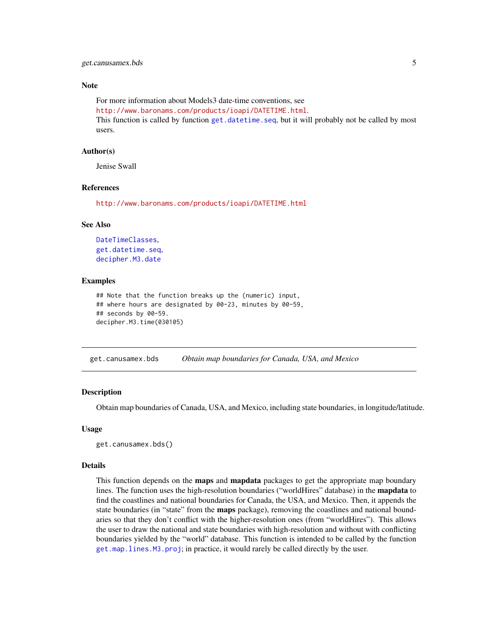#### <span id="page-4-0"></span>get.canusamex.bds 5

#### Note

For more information about Models3 date-time conventions, see

<http://www.baronams.com/products/ioapi/DATETIME.html>.

This function is called by function [get.datetime.seq](#page-7-1), but it will probably not be called by most users.

#### Author(s)

Jenise Swall

#### References

<http://www.baronams.com/products/ioapi/DATETIME.html>

#### See Also

[DateTimeClasses](#page-0-0), [get.datetime.seq](#page-7-1), [decipher.M3.date](#page-2-1)

#### Examples

```
## Note that the function breaks up the (numeric) input,
## where hours are designated by 00-23, minutes by 00-59,
## seconds by 00-59.
decipher.M3.time(030105)
```
<span id="page-4-1"></span>get.canusamex.bds *Obtain map boundaries for Canada, USA, and Mexico*

#### Description

Obtain map boundaries of Canada, USA, and Mexico, including state boundaries, in longitude/latitude.

#### Usage

```
get.canusamex.bds()
```
#### Details

This function depends on the **maps** and **mapdata** packages to get the appropriate map boundary lines. The function uses the high-resolution boundaries ("worldHires" database) in the mapdata to find the coastlines and national boundaries for Canada, the USA, and Mexico. Then, it appends the state boundaries (in "state" from the maps package), removing the coastlines and national boundaries so that they don't conflict with the higher-resolution ones (from "worldHires"). This allows the user to draw the national and state boundaries with high-resolution and without with conflicting boundaries yielded by the "world" database. This function is intended to be called by the function [get.map.lines.M3.proj](#page-12-1); in practice, it would rarely be called directly by the user.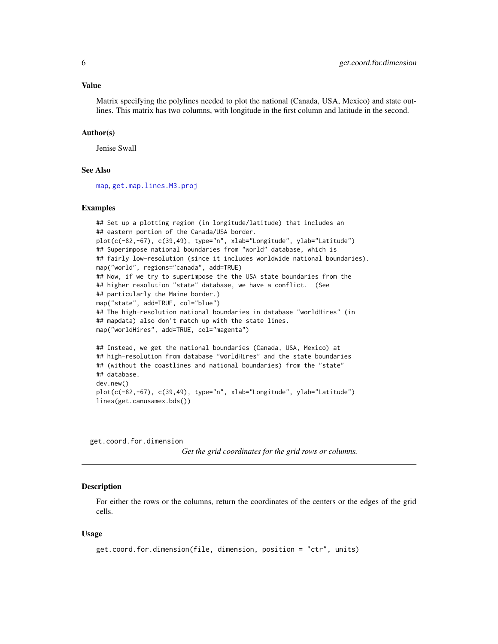<span id="page-5-0"></span>Matrix specifying the polylines needed to plot the national (Canada, USA, Mexico) and state outlines. This matrix has two columns, with longitude in the first column and latitude in the second.

#### Author(s)

Jenise Swall

#### See Also

[map](#page-0-0), [get.map.lines.M3.proj](#page-12-1)

#### Examples

```
## Set up a plotting region (in longitude/latitude) that includes an
## eastern portion of the Canada/USA border.
plot(c(-82,-67), c(39,49), type="n", xlab="Longitude", ylab="Latitude")
## Superimpose national boundaries from "world" database, which is
## fairly low-resolution (since it includes worldwide national boundaries).
map("world", regions="canada", add=TRUE)
## Now, if we try to superimpose the the USA state boundaries from the
## higher resolution "state" database, we have a conflict. (See
## particularly the Maine border.)
map("state", add=TRUE, col="blue")
## The high-resolution national boundaries in database "worldHires" (in
## mapdata) also don't match up with the state lines.
map("worldHires", add=TRUE, col="magenta")
## Instead, we get the national boundaries (Canada, USA, Mexico) at
## high-resolution from database "worldHires" and the state boundaries
## (without the coastlines and national boundaries) from the "state"
## database.
dev.new()
plot(c(-82,-67), c(39,49), type="n", xlab="Longitude", ylab="Latitude")
lines(get.canusamex.bds())
```
<span id="page-5-1"></span>get.coord.for.dimension

*Get the grid coordinates for the grid rows or columns.*

#### Description

For either the rows or the columns, return the coordinates of the centers or the edges of the grid cells.

#### Usage

```
get.coord.for.dimension(file, dimension, position = "ctr", units)
```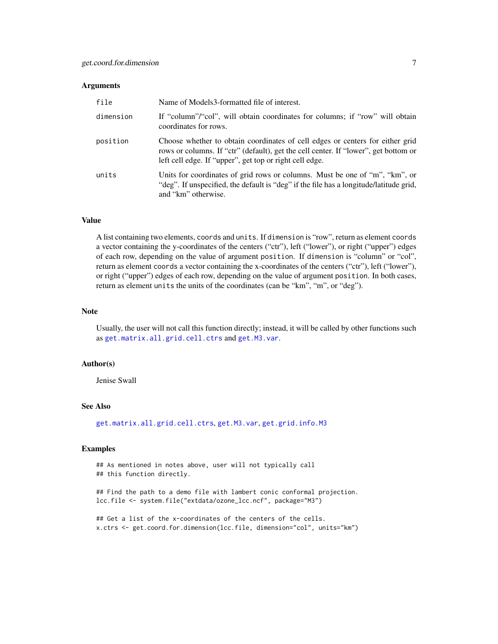#### <span id="page-6-0"></span>**Arguments**

| file      | Name of Models3-formatted file of interest.                                                                                                                                                                                     |
|-----------|---------------------------------------------------------------------------------------------------------------------------------------------------------------------------------------------------------------------------------|
| dimension | If "column"/"col", will obtain coordinates for columns; if "row" will obtain<br>coordinates for rows.                                                                                                                           |
| position  | Choose whether to obtain coordinates of cell edges or centers for either grid<br>rows or columns. If "ctr" (default), get the cell center. If "lower", get bottom or<br>left cell edge. If "upper", get top or right cell edge. |
| units     | Units for coordinates of grid rows or columns. Must be one of "m", "km", or<br>"deg". If unspecified, the default is "deg" if the file has a longitude/latitude grid,<br>and "km" otherwise.                                    |

#### Value

A list containing two elements, coords and units. If dimension is "row", return as element coords a vector containing the y-coordinates of the centers ("ctr"), left ("lower"), or right ("upper") edges of each row, depending on the value of argument position. If dimension is "column" or "col", return as element coords a vector containing the x-coordinates of the centers ("ctr"), left ("lower"), or right ("upper") edges of each row, depending on the value of argument position. In both cases, return as element units the units of the coordinates (can be "km", "m", or "deg").

#### Note

Usually, the user will not call this function directly; instead, it will be called by other functions such as [get.matrix.all.grid.cell.ctrs](#page-14-1) and [get.M3.var](#page-9-1).

#### Author(s)

Jenise Swall

#### See Also

[get.matrix.all.grid.cell.ctrs](#page-14-1), [get.M3.var](#page-9-1), [get.grid.info.M3](#page-8-1)

#### Examples

## As mentioned in notes above, user will not typically call ## this function directly.

## Find the path to a demo file with lambert conic conformal projection. lcc.file <- system.file("extdata/ozone\_lcc.ncf", package="M3")

## Get a list of the x-coordinates of the centers of the cells. x.ctrs <- get.coord.for.dimension(lcc.file, dimension="col", units="km")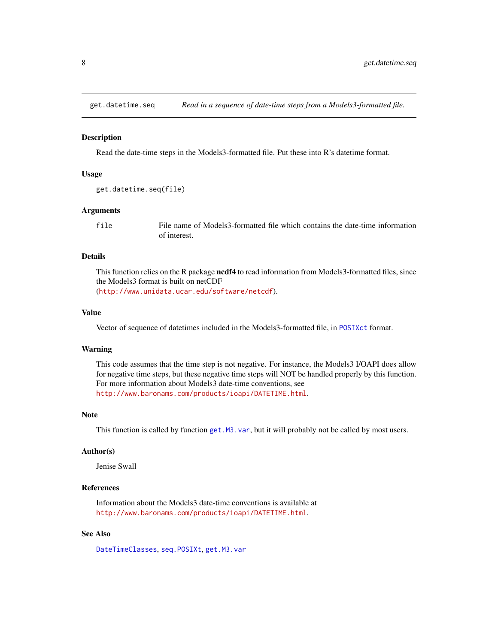<span id="page-7-1"></span><span id="page-7-0"></span>

#### Description

Read the date-time steps in the Models3-formatted file. Put these into R's datetime format.

#### Usage

```
get.datetime.seq(file)
```
#### Arguments

file File name of Models3-formatted file which contains the date-time information of interest.

#### Details

This function relies on the R package nedf4 to read information from Models3-formatted files, since the Models3 format is built on netCDF (<http://www.unidata.ucar.edu/software/netcdf>).

#### Value

Vector of sequence of datetimes included in the Models3-formatted file, in [POSIXct](#page-0-0) format.

#### Warning

This code assumes that the time step is not negative. For instance, the Models3 I/OAPI does allow for negative time steps, but these negative time steps will NOT be handled properly by this function. For more information about Models3 date-time conventions, see <http://www.baronams.com/products/ioapi/DATETIME.html>.

#### **Note**

This function is called by function [get.M3.var](#page-9-1), but it will probably not be called by most users.

#### Author(s)

Jenise Swall

#### References

Information about the Models3 date-time conventions is available at <http://www.baronams.com/products/ioapi/DATETIME.html>.

#### See Also

[DateTimeClasses](#page-0-0), [seq.POSIXt](#page-0-0), [get.M3.var](#page-9-1)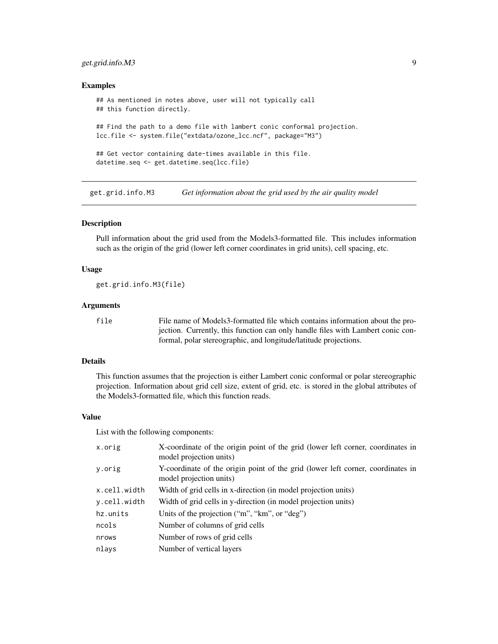#### <span id="page-8-0"></span>get.grid.info.M3 9

#### Examples

```
## As mentioned in notes above, user will not typically call
## this function directly.
## Find the path to a demo file with lambert conic conformal projection.
lcc.file <- system.file("extdata/ozone_lcc.ncf", package="M3")
## Get vector containing date-times available in this file.
datetime.seq <- get.datetime.seq(lcc.file)
```
<span id="page-8-1"></span>get.grid.info.M3 *Get information about the grid used by the air quality model*

#### Description

Pull information about the grid used from the Models3-formatted file. This includes information such as the origin of the grid (lower left corner coordinates in grid units), cell spacing, etc.

#### Usage

get.grid.info.M3(file)

#### Arguments

file File name of Models3-formatted file which contains information about the projection. Currently, this function can only handle files with Lambert conic conformal, polar stereographic, and longitude/latitude projections.

#### Details

This function assumes that the projection is either Lambert conic conformal or polar stereographic projection. Information about grid cell size, extent of grid, etc. is stored in the global attributes of the Models3-formatted file, which this function reads.

#### Value

List with the following components:

| x.orig       | X-coordinate of the origin point of the grid (lower left corner, coordinates in<br>model projection units) |
|--------------|------------------------------------------------------------------------------------------------------------|
| y.orig       | Y-coordinate of the origin point of the grid (lower left corner, coordinates in<br>model projection units) |
| x.cell.width | Width of grid cells in x-direction (in model projection units)                                             |
| y.cell.width | Width of grid cells in y-direction (in model projection units)                                             |
| hz.units     | Units of the projection ("m", "km", or "deg")                                                              |
| ncols        | Number of columns of grid cells                                                                            |
| nrows        | Number of rows of grid cells                                                                               |
| nlays        | Number of vertical layers                                                                                  |
|              |                                                                                                            |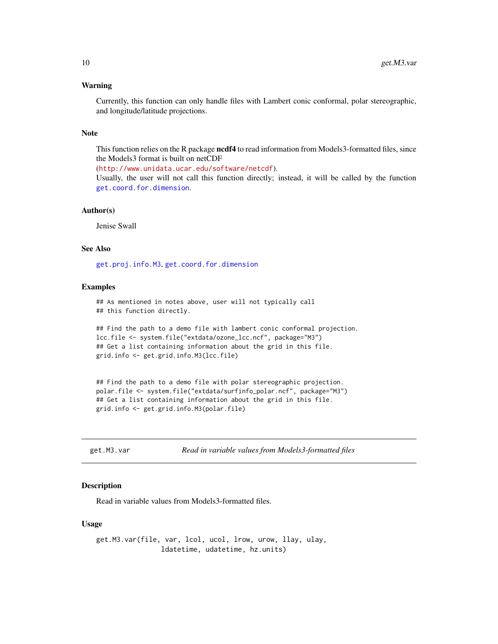#### <span id="page-9-0"></span>Warning

Currently, this function can only handle files with Lambert conic conformal, polar stereographic, and longitude/latitude projections.

#### Note

This function relies on the R package nedf4 to read information from Models3-formatted files, since the Models3 format is built on netCDF

(<http://www.unidata.ucar.edu/software/netcdf>).

Usually, the user will not call this function directly; instead, it will be called by the function [get.coord.for.dimension](#page-5-1).

#### Author(s)

Jenise Swall

#### See Also

[get.proj.info.M3](#page-15-1), [get.coord.for.dimension](#page-5-1)

#### Examples

```
## As mentioned in notes above, user will not typically call
## this function directly.
```

```
## Find the path to a demo file with lambert conic conformal projection.
lcc.file <- system.file("extdata/ozone_lcc.ncf", package="M3")
## Get a list containing information about the grid in this file.
grid.info <- get.grid.info.M3(lcc.file)
```

```
## Find the path to a demo file with polar stereographic projection.
polar.file <- system.file("extdata/surfinfo_polar.ncf", package="M3")
## Get a list containing information about the grid in this file.
grid.info <- get.grid.info.M3(polar.file)
```
<span id="page-9-1"></span>get.M3.var *Read in variable values from Models3-formatted files*

#### Description

Read in variable values from Models3-formatted files.

#### Usage

get.M3.var(file, var, lcol, ucol, lrow, urow, llay, ulay, ldatetime, udatetime, hz.units)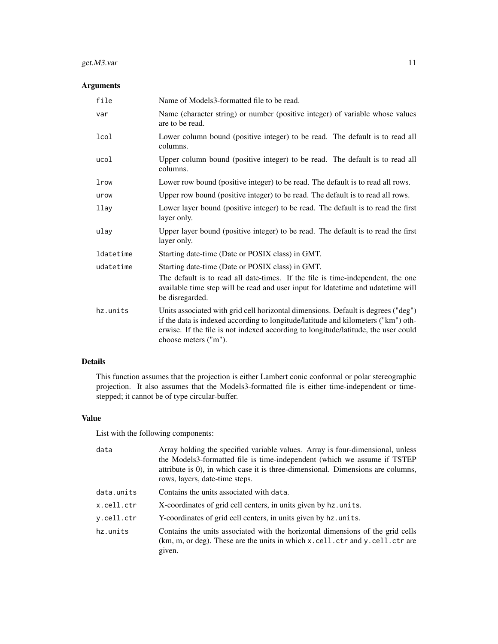#### get.M3.var 11

#### Arguments

| file      | Name of Models3-formatted file to be read.                                                                                                                                                                                                                                           |
|-----------|--------------------------------------------------------------------------------------------------------------------------------------------------------------------------------------------------------------------------------------------------------------------------------------|
| var       | Name (character string) or number (positive integer) of variable whose values<br>are to be read.                                                                                                                                                                                     |
| lcol      | Lower column bound (positive integer) to be read. The default is to read all<br>columns.                                                                                                                                                                                             |
| ucol      | Upper column bound (positive integer) to be read. The default is to read all<br>columns.                                                                                                                                                                                             |
| lrow      | Lower row bound (positive integer) to be read. The default is to read all rows.                                                                                                                                                                                                      |
| urow      | Upper row bound (positive integer) to be read. The default is to read all rows.                                                                                                                                                                                                      |
| llay      | Lower layer bound (positive integer) to be read. The default is to read the first<br>layer only.                                                                                                                                                                                     |
| ulay      | Upper layer bound (positive integer) to be read. The default is to read the first<br>layer only.                                                                                                                                                                                     |
| ldatetime | Starting date-time (Date or POSIX class) in GMT.                                                                                                                                                                                                                                     |
| udatetime | Starting date-time (Date or POSIX class) in GMT.                                                                                                                                                                                                                                     |
|           | The default is to read all date-times. If the file is time-independent, the one<br>available time step will be read and user input for ldatetime and udatetime will<br>be disregarded.                                                                                               |
| hz.units  | Units associated with grid cell horizontal dimensions. Default is degrees ("deg")<br>if the data is indexed according to longitude/latitude and kilometers ("km") oth-<br>erwise. If the file is not indexed according to longitude/latitude, the user could<br>choose meters ("m"). |

#### Details

This function assumes that the projection is either Lambert conic conformal or polar stereographic projection. It also assumes that the Models3-formatted file is either time-independent or timestepped; it cannot be of type circular-buffer.

#### Value

List with the following components:

| data       | Array holding the specified variable values. Array is four-dimensional, unless<br>the Models3-formatted file is time-independent (which we assume if TSTEP<br>attribute is 0), in which case it is three-dimensional. Dimensions are columns,<br>rows, layers, date-time steps. |
|------------|---------------------------------------------------------------------------------------------------------------------------------------------------------------------------------------------------------------------------------------------------------------------------------|
| data.units | Contains the units associated with data.                                                                                                                                                                                                                                        |
| x.cell.ctr | X-coordinates of grid cell centers, in units given by hz. units.                                                                                                                                                                                                                |
| y.cell.ctr | Y-coordinates of grid cell centers, in units given by hz. units.                                                                                                                                                                                                                |
| hz.units   | Contains the units associated with the horizontal dimensions of the grid cells<br>$(km, m, or deg)$ . These are the units in which x.cell.ctr and y.cell.ctr are<br>given.                                                                                                      |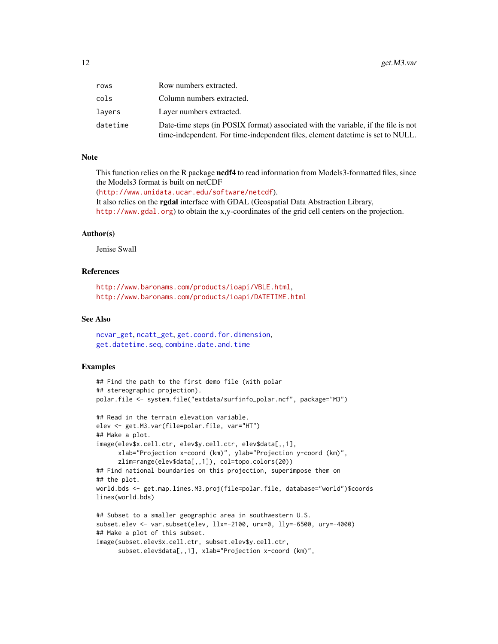<span id="page-11-0"></span>

| rows     | Row numbers extracted.                                                                                                                                                |
|----------|-----------------------------------------------------------------------------------------------------------------------------------------------------------------------|
| cols     | Column numbers extracted.                                                                                                                                             |
| lavers   | Layer numbers extracted.                                                                                                                                              |
| datetime | Date-time steps (in POSIX format) associated with the variable, if the file is not<br>time-independent. For time-independent files, element date time is set to NULL. |

#### Note

This function relies on the R package **ncdf4** to read information from Models3-formatted files, since the Models3 format is built on netCDF

(<http://www.unidata.ucar.edu/software/netcdf>).

It also relies on the rgdal interface with GDAL (Geospatial Data Abstraction Library, <http://www.gdal.org>) to obtain the x,y-coordinates of the grid cell centers on the projection.

#### Author(s)

Jenise Swall

#### References

<http://www.baronams.com/products/ioapi/VBLE.html>, <http://www.baronams.com/products/ioapi/DATETIME.html>

#### See Also

[ncvar\\_get](#page-0-0), [ncatt\\_get](#page-0-0), [get.coord.for.dimension](#page-5-1), [get.datetime.seq](#page-7-1), [combine.date.and.time](#page-1-1)

#### Examples

```
## Find the path to the first demo file (with polar
## stereographic projection).
polar.file <- system.file("extdata/surfinfo_polar.ncf", package="M3")
## Read in the terrain elevation variable.
elev <- get.M3.var(file=polar.file, var="HT")
## Make a plot.
image(elev$x.cell.ctr, elev$y.cell.ctr, elev$data[,,1],
      xlab="Projection x-coord (km)", ylab="Projection y-coord (km)",
      zlim=range(elev$data[,,1]), col=topo.colors(20))
## Find national boundaries on this projection, superimpose them on
## the plot.
world.bds <- get.map.lines.M3.proj(file=polar.file, database="world")$coords
lines(world.bds)
## Subset to a smaller geographic area in southwestern U.S.
subset.elev <- var.subset(elev, llx=-2100, urx=0, lly=-6500, ury=-4000)
## Make a plot of this subset.
image(subset.elev$x.cell.ctr, subset.elev$y.cell.ctr,
      subset.elev$data[,,1], xlab="Projection x-coord (km)",
```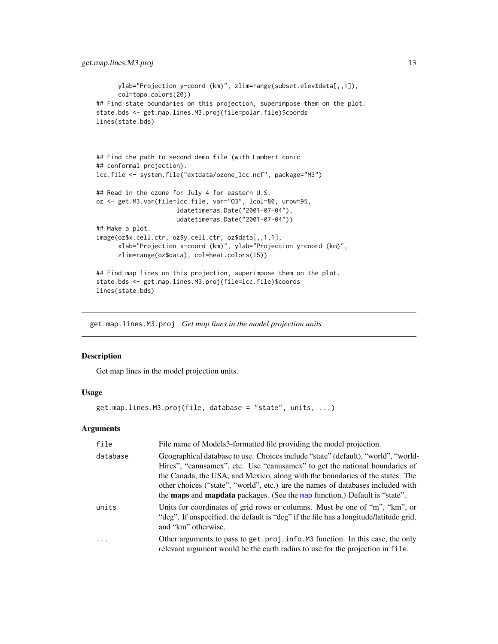```
ylab="Projection y-coord (km)", zlim=range(subset.elev$data[,,1]),
      col=topo.colors(20))
## Find state boundaries on this projection, superimpose them on the plot.
state.bds <- get.map.lines.M3.proj(file=polar.file)$coords
lines(state.bds)
## Find the path to second demo file (with Lambert conic
## conformal projection).
lcc.file <- system.file("extdata/ozone_lcc.ncf", package="M3")
## Read in the ozone for July 4 for eastern U.S.
oz <- get.M3.var(file=lcc.file, var="O3", lcol=80, urow=95,
                      ldatetime=as.Date("2001-07-04"),
                      udatetime=as.Date("2001-07-04"))
## Make a plot.
image(oz$x.cell.ctr, oz$y.cell.ctr, oz$data[,,1,1],
      xlab="Projection x-coord (km)", ylab="Projection y-coord (km)",
      zlim=range(oz$data), col=heat.colors(15))
## Find map lines on this projection, superimpose them on the plot.
state.bds <- get.map.lines.M3.proj(file=lcc.file)$coords
lines(state.bds)
```
<span id="page-12-1"></span>get.map.lines.M3.proj *Get map lines in the model projection units*

#### **Description**

Get map lines in the model projection units.

#### Usage

```
get.map.lines.M3.proj(file, database = "state", units, ...)
```
#### Arguments

| file     | File name of Models3-formatted file providing the model projection.                                                                                                                                                                                                                                                                                                                                                              |
|----------|----------------------------------------------------------------------------------------------------------------------------------------------------------------------------------------------------------------------------------------------------------------------------------------------------------------------------------------------------------------------------------------------------------------------------------|
| database | Geographical database to use. Choices include "state" (default), "world", "world-<br>Hires", "canusamex", etc. Use "canusamex" to get the national boundaries of<br>the Canada, the USA, and Mexico, along with the boundaries of the states. The<br>other choices ("state", "world", etc.) are the names of databases included with<br>the <b>maps</b> and <b>mapdata</b> packages. (See the map function.) Default is "state". |
| units    | Units for coordinates of grid rows or columns. Must be one of "m", "km", or<br>"deg". If unspecified, the default is "deg" if the file has a longitude/latitude grid,<br>and "km" otherwise.                                                                                                                                                                                                                                     |
| .        | Other arguments to pass to get.proj.info.M3 function. In this case, the only<br>relevant argument would be the earth radius to use for the projection in file.                                                                                                                                                                                                                                                                   |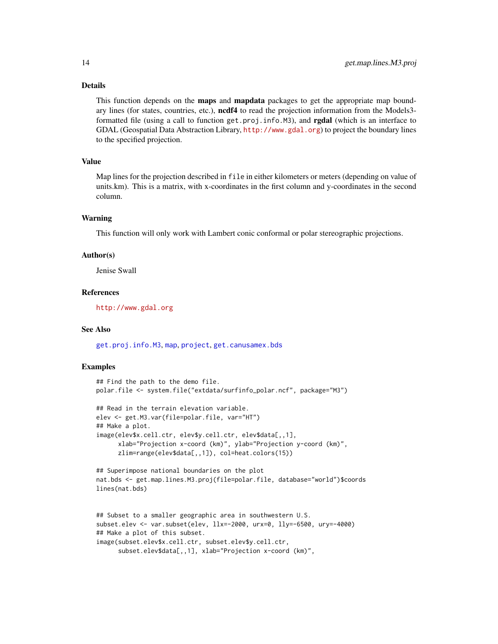#### Details

This function depends on the **maps** and **mapdata** packages to get the appropriate map boundary lines (for states, countries, etc.), nod f4 to read the projection information from the Models3formatted file (using a call to function get.proj.info.M3), and **rgdal** (which is an interface to GDAL (Geospatial Data Abstraction Library, <http://www.gdal.org>) to project the boundary lines to the specified projection.

#### Value

Map lines for the projection described in file in either kilometers or meters (depending on value of units.km). This is a matrix, with x-coordinates in the first column and y-coordinates in the second column.

#### Warning

This function will only work with Lambert conic conformal or polar stereographic projections.

#### Author(s)

Jenise Swall

#### References

<http://www.gdal.org>

#### See Also

[get.proj.info.M3](#page-15-1), [map](#page-0-0), [project](#page-0-0), [get.canusamex.bds](#page-4-1)

#### Examples

```
## Find the path to the demo file.
polar.file <- system.file("extdata/surfinfo_polar.ncf", package="M3")
## Read in the terrain elevation variable.
elev <- get.M3.var(file=polar.file, var="HT")
## Make a plot.
image(elev$x.cell.ctr, elev$y.cell.ctr, elev$data[,,1],
```

```
xlab="Projection x-coord (km)", ylab="Projection y-coord (km)",
zlim=range(elev$data[,,1]), col=heat.colors(15))
```

```
## Superimpose national boundaries on the plot
nat.bds <- get.map.lines.M3.proj(file=polar.file, database="world")$coords
lines(nat.bds)
```

```
## Subset to a smaller geographic area in southwestern U.S.
subset.elev <- var.subset(elev, llx=-2000, urx=0, lly=-6500, ury=-4000)
## Make a plot of this subset.
image(subset.elev$x.cell.ctr, subset.elev$y.cell.ctr,
     subset.elev$data[,,1], xlab="Projection x-coord (km)",
```
<span id="page-13-0"></span>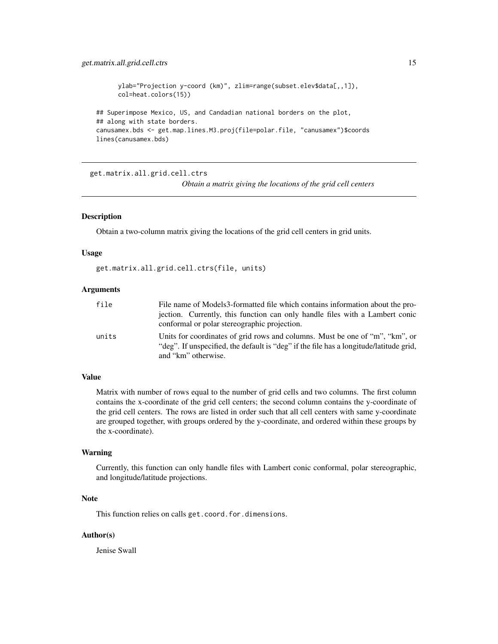```
ylab="Projection y-coord (km)", zlim=range(subset.elev$data[,,1]),
     col=heat.colors(15))
## Superimpose Mexico, US, and Candadian national borders on the plot,
## along with state borders.
canusamex.bds <- get.map.lines.M3.proj(file=polar.file, "canusamex")$coords
lines(canusamex.bds)
```
<span id="page-14-1"></span>get.matrix.all.grid.cell.ctrs

*Obtain a matrix giving the locations of the grid cell centers*

#### Description

Obtain a two-column matrix giving the locations of the grid cell centers in grid units.

#### Usage

get.matrix.all.grid.cell.ctrs(file, units)

#### Arguments

| file  | File name of Models3-formatted file which contains information about the pro-                                                                                          |
|-------|------------------------------------------------------------------------------------------------------------------------------------------------------------------------|
|       | jection. Currently, this function can only handle files with a Lambert conic                                                                                           |
|       | conformal or polar stereographic projection.                                                                                                                           |
| units | Units for coordinates of grid rows and columns. Must be one of "m", "km", or<br>"deg". If unspecified, the default is "deg" if the file has a longitude/latitude grid, |
|       | and "km" otherwise.                                                                                                                                                    |

#### Value

Matrix with number of rows equal to the number of grid cells and two columns. The first column contains the x-coordinate of the grid cell centers; the second column contains the y-coordinate of the grid cell centers. The rows are listed in order such that all cell centers with same y-coordinate are grouped together, with groups ordered by the y-coordinate, and ordered within these groups by the x-coordinate).

#### Warning

Currently, this function can only handle files with Lambert conic conformal, polar stereographic, and longitude/latitude projections.

#### Note

This function relies on calls get.coord.for.dimensions.

#### Author(s)

Jenise Swall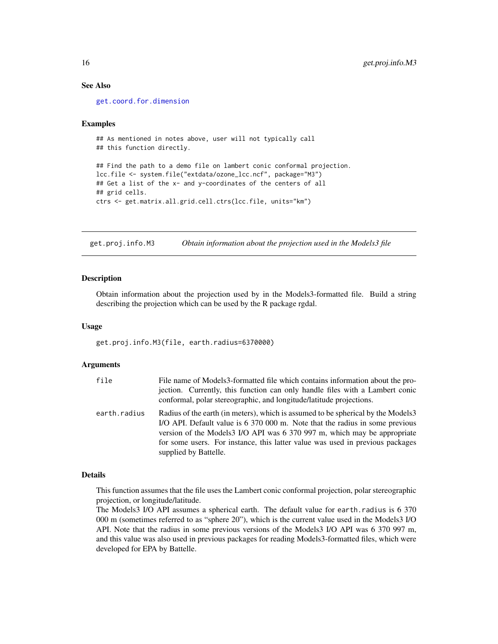#### See Also

[get.coord.for.dimension](#page-5-1)

#### Examples

```
## As mentioned in notes above, user will not typically call
## this function directly.
## Find the path to a demo file on lambert conic conformal projection.
lcc.file <- system.file("extdata/ozone_lcc.ncf", package="M3")
## Get a list of the x- and y-coordinates of the centers of all
## grid cells.
ctrs <- get.matrix.all.grid.cell.ctrs(lcc.file, units="km")
```
<span id="page-15-1"></span>get.proj.info.M3 *Obtain information about the projection used in the Models3 file*

#### Description

Obtain information about the projection used by in the Models3-formatted file. Build a string describing the projection which can be used by the R package rgdal.

#### Usage

get.proj.info.M3(file, earth.radius=6370000)

#### Arguments

| file         | File name of Models3-formatted file which contains information about the pro-<br>jection. Currently, this function can only handle files with a Lambert conic<br>conformal, polar stereographic, and longitude/latitude projections.                                                                                                                   |
|--------------|--------------------------------------------------------------------------------------------------------------------------------------------------------------------------------------------------------------------------------------------------------------------------------------------------------------------------------------------------------|
| earth.radius | Radius of the earth (in meters), which is assumed to be spherical by the Models3<br>I/O API. Default value is 6 370 000 m. Note that the radius in some previous<br>version of the Models3 I/O API was 6 370 997 m, which may be appropriate<br>for some users. For instance, this latter value was used in previous packages<br>supplied by Battelle. |

#### Details

This function assumes that the file uses the Lambert conic conformal projection, polar stereographic projection, or longitude/latitude.

The Models3 I/O API assumes a spherical earth. The default value for earth.radius is 6 370 000 m (sometimes referred to as "sphere 20"), which is the current value used in the Models3 I/O API. Note that the radius in some previous versions of the Models3 I/O API was 6 370 997 m, and this value was also used in previous packages for reading Models3-formatted files, which were developed for EPA by Battelle.

<span id="page-15-0"></span>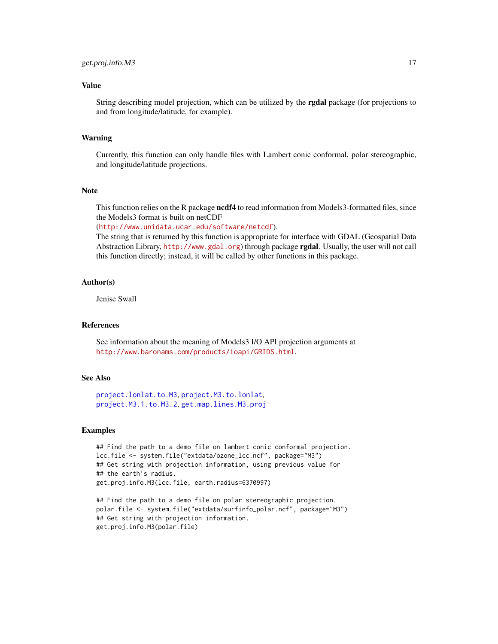#### <span id="page-16-0"></span>Value

String describing model projection, which can be utilized by the rgdal package (for projections to and from longitude/latitude, for example).

#### Warning

Currently, this function can only handle files with Lambert conic conformal, polar stereographic, and longitude/latitude projections.

#### Note

This function relies on the R package nedf4 to read information from Models3-formatted files, since the Models3 format is built on netCDF

(<http://www.unidata.ucar.edu/software/netcdf>).

The string that is returned by this function is appropriate for interface with GDAL (Geospatial Data Abstraction Library, <http://www.gdal.org>) through package rgdal. Usually, the user will not call this function directly; instead, it will be called by other functions in this package.

#### Author(s)

Jenise Swall

#### References

See information about the meaning of Models3 I/O API projection arguments at <http://www.baronams.com/products/ioapi/GRIDS.html>.

#### See Also

```
project.lonlat.to.M3, project.M3.to.lonlat,
project.M3.1.to.M3.2, get.map.lines.M3.proj
```
#### Examples

```
## Find the path to a demo file on lambert conic conformal projection.
lcc.file <- system.file("extdata/ozone_lcc.ncf", package="M3")
## Get string with projection information, using previous value for
## the earth's radius.
get.proj.info.M3(lcc.file, earth.radius=6370997)
```
## Find the path to a demo file on polar stereographic projection. polar.file <- system.file("extdata/surfinfo\_polar.ncf", package="M3") ## Get string with projection information. get.proj.info.M3(polar.file)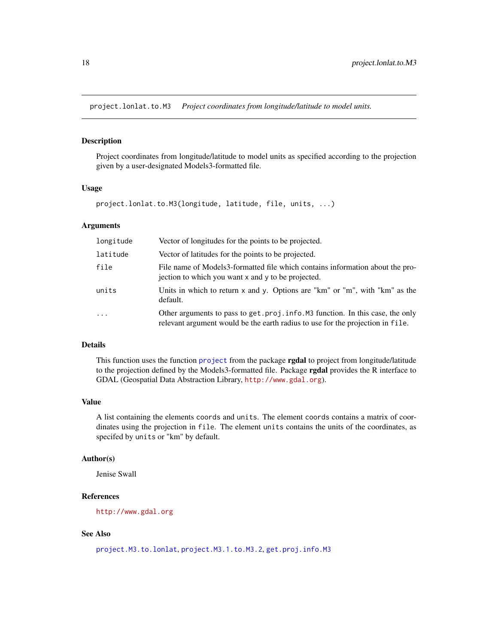<span id="page-17-1"></span><span id="page-17-0"></span>project.lonlat.to.M3 *Project coordinates from longitude/latitude to model units.*

#### Description

Project coordinates from longitude/latitude to model units as specified according to the projection given by a user-designated Models3-formatted file.

#### Usage

project.lonlat.to.M3(longitude, latitude, file, units, ...)

#### Arguments

| longitude  | Vector of longitudes for the points to be projected.                                                                                                           |
|------------|----------------------------------------------------------------------------------------------------------------------------------------------------------------|
| latitude   | Vector of latitudes for the points to be projected.                                                                                                            |
| file       | File name of Models3-formatted file which contains information about the pro-<br>jection to which you want x and y to be projected.                            |
| units      | Units in which to return x and y. Options are "km" or "m", with "km" as the<br>default.                                                                        |
| $\ddots$ . | Other arguments to pass to get.proj.info.M3 function. In this case, the only<br>relevant argument would be the earth radius to use for the projection in file. |

#### Details

This function uses the function [project](#page-0-0) from the package **rgdal** to project from longitude/latitude to the projection defined by the Models3-formatted file. Package rgdal provides the R interface to GDAL (Geospatial Data Abstraction Library, <http://www.gdal.org>).

#### Value

A list containing the elements coords and units. The element coords contains a matrix of coordinates using the projection in file. The element units contains the units of the coordinates, as specifed by units or "km" by default.

#### Author(s)

Jenise Swall

#### References

<http://www.gdal.org>

#### See Also

[project.M3.to.lonlat](#page-20-1), [project.M3.1.to.M3.2](#page-18-1), [get.proj.info.M3](#page-15-1)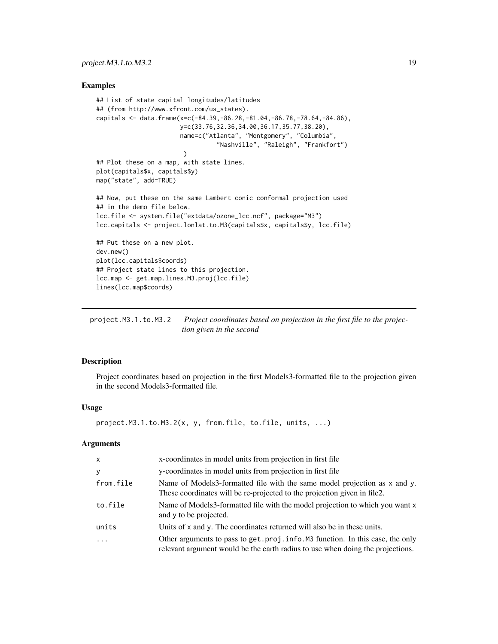#### <span id="page-18-0"></span>Examples

```
## List of state capital longitudes/latitudes
## (from http://www.xfront.com/us_states).
capitals <- data.frame(x=c(-84.39,-86.28,-81.04,-86.78,-78.64,-84.86),
                       y=c(33.76,32.36,34.00,36.17,35.77,38.20),
                       name=c("Atlanta", "Montgomery", "Columbia",
                                 "Nashville", "Raleigh", "Frankfort")
                        )
## Plot these on a map, with state lines.
plot(capitals$x, capitals$y)
map("state", add=TRUE)
## Now, put these on the same Lambert conic conformal projection used
## in the demo file below.
lcc.file <- system.file("extdata/ozone_lcc.ncf", package="M3")
lcc.capitals <- project.lonlat.to.M3(capitals$x, capitals$y, lcc.file)
## Put these on a new plot.
dev.new()
plot(lcc.capitals$coords)
## Project state lines to this projection.
lcc.map <- get.map.lines.M3.proj(lcc.file)
lines(lcc.map$coords)
```
<span id="page-18-1"></span>project.M3.1.to.M3.2 *Project coordinates based on projection in the first file to the projection given in the second*

#### Description

Project coordinates based on projection in the first Models3-formatted file to the projection given in the second Models3-formatted file.

#### Usage

```
project.M3.1.to.M3.2(x, y, from.file, to.file, units, ...)
```
#### Arguments

| $\mathsf{x}$ | x-coordinates in model units from projection in first file                                                                                                     |
|--------------|----------------------------------------------------------------------------------------------------------------------------------------------------------------|
| y            | y-coordinates in model units from projection in first file                                                                                                     |
| from.file    | Name of Models3-formatted file with the same model projection as x and y.<br>These coordinates will be re-projected to the projection given in file2.          |
| to.file      | Name of Models3-formatted file with the model projection to which you want x<br>and y to be projected.                                                         |
| units        | Units of $x$ and $y$ . The coordinates returned will also be in these units.                                                                                   |
| $\cdots$     | Other arguments to pass to get.proj.info.M3 function. In this case, the only<br>relevant argument would be the earth radius to use when doing the projections. |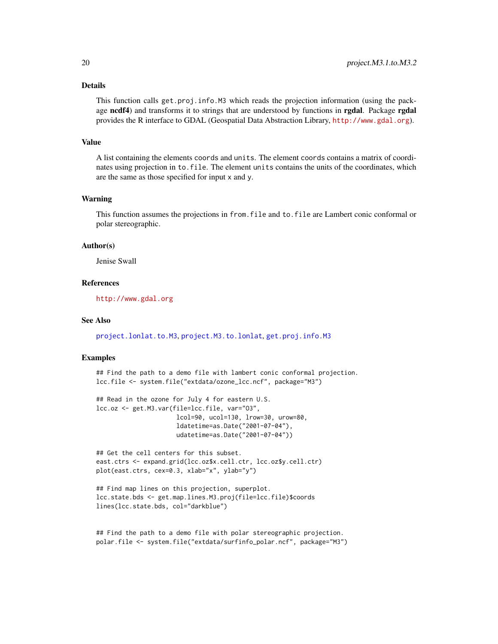#### <span id="page-19-0"></span>Details

This function calls get.proj.info.M3 which reads the projection information (using the package ncdf4) and transforms it to strings that are understood by functions in rgdal. Package rgdal provides the R interface to GDAL (Geospatial Data Abstraction Library, <http://www.gdal.org>).

#### Value

A list containing the elements coords and units. The element coords contains a matrix of coordinates using projection in to.file. The element units contains the units of the coordinates, which are the same as those specified for input x and y.

#### Warning

This function assumes the projections in from.file and to.file are Lambert conic conformal or polar stereographic.

#### Author(s)

Jenise Swall

#### References

<http://www.gdal.org>

#### See Also

[project.lonlat.to.M3](#page-17-1), [project.M3.to.lonlat](#page-20-1), [get.proj.info.M3](#page-15-1)

#### Examples

```
## Find the path to a demo file with lambert conic conformal projection.
lcc.file <- system.file("extdata/ozone_lcc.ncf", package="M3")
```

```
## Read in the ozone for July 4 for eastern U.S.
lcc.oz <- get.M3.var(file=lcc.file, var="O3",
                      lcol=90, ucol=130, lrow=30, urow=80,
                      ldatetime=as.Date("2001-07-04"),
                      udatetime=as.Date("2001-07-04"))
```

```
## Get the cell centers for this subset.
east.ctrs <- expand.grid(lcc.oz$x.cell.ctr, lcc.oz$y.cell.ctr)
plot(east.ctrs, cex=0.3, xlab="x", ylab="y")
```

```
## Find map lines on this projection, superplot.
lcc.state.bds <- get.map.lines.M3.proj(file=lcc.file)$coords
lines(lcc.state.bds, col="darkblue")
```

```
## Find the path to a demo file with polar stereographic projection.
polar.file <- system.file("extdata/surfinfo_polar.ncf", package="M3")
```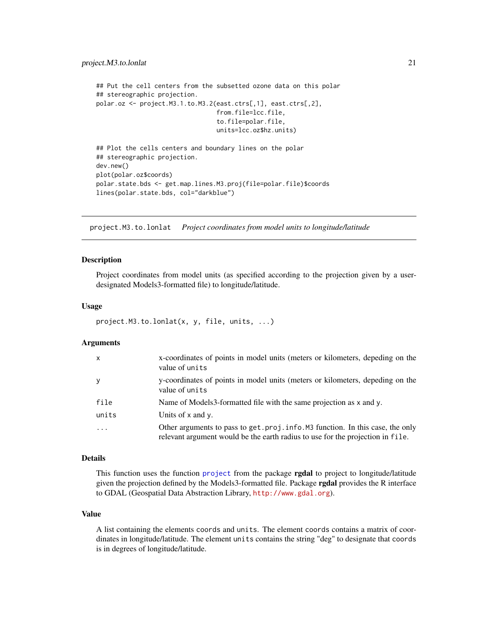```
## Put the cell centers from the subsetted ozone data on this polar
## stereographic projection.
polar.oz <- project.M3.1.to.M3.2(east.ctrs[,1], east.ctrs[,2],
                                 from.file=lcc.file,
                                 to.file=polar.file,
                                 units=lcc.oz$hz.units)
## Plot the cells centers and boundary lines on the polar
## stereographic projection.
dev.new()
plot(polar.oz$coords)
polar.state.bds <- get.map.lines.M3.proj(file=polar.file)$coords
```
lines(polar.state.bds, col="darkblue")

<span id="page-20-1"></span>project.M3.to.lonlat *Project coordinates from model units to longitude/latitude*

#### Description

Project coordinates from model units (as specified according to the projection given by a userdesignated Models3-formatted file) to longitude/latitude.

#### Usage

project.M3.to.lonlat(x, y, file, units, ...)

#### Arguments

| $\mathsf{x}$ | x-coordinates of points in model units (meters or kilometers, depeding on the<br>value of units                                                                |
|--------------|----------------------------------------------------------------------------------------------------------------------------------------------------------------|
| y            | y-coordinates of points in model units (meters or kilometers, depeding on the<br>value of units                                                                |
| file         | Name of Models3-formatted file with the same projection as x and y.                                                                                            |
| units        | Units of $x$ and $y$ .                                                                                                                                         |
|              | Other arguments to pass to get.proj.info.M3 function. In this case, the only<br>relevant argument would be the earth radius to use for the projection in file. |

#### Details

This function uses the function [project](#page-0-0) from the package rgdal to project to longitude/latitude given the projection defined by the Models3-formatted file. Package rgdal provides the R interface to GDAL (Geospatial Data Abstraction Library, <http://www.gdal.org>).

#### Value

A list containing the elements coords and units. The element coords contains a matrix of coordinates in longitude/latitude. The element units contains the string "deg" to designate that coords is in degrees of longitude/latitude.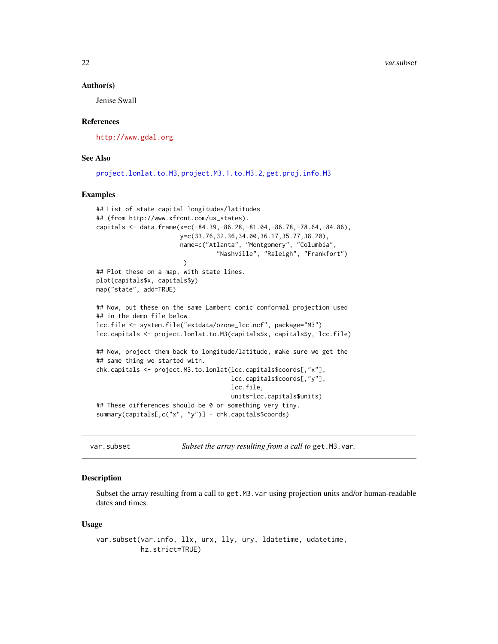#### Author(s)

Jenise Swall

#### References

<http://www.gdal.org>

#### See Also

[project.lonlat.to.M3](#page-17-1), [project.M3.1.to.M3.2](#page-18-1), [get.proj.info.M3](#page-15-1)

#### Examples

```
## List of state capital longitudes/latitudes
## (from http://www.xfront.com/us_states).
capitals <- data.frame(x=c(-84.39,-86.28,-81.04,-86.78,-78.64,-84.86),
                       y=c(33.76,32.36,34.00,36.17,35.77,38.20),
                       name=c("Atlanta", "Montgomery", "Columbia",
                                 "Nashville", "Raleigh", "Frankfort")
                        )
## Plot these on a map, with state lines.
plot(capitals$x, capitals$y)
map("state", add=TRUE)
## Now, put these on the same Lambert conic conformal projection used
## in the demo file below.
lcc.file <- system.file("extdata/ozone_lcc.ncf", package="M3")
lcc.capitals <- project.lonlat.to.M3(capitals$x, capitals$y, lcc.file)
## Now, project them back to longitude/latitude, make sure we get the
## same thing we started with.
chk.capitals <- project.M3.to.lonlat(lcc.capitals$coords[,"x"],
                                     lcc.capitals$coords[,"y"],
                                     lcc.file,
                                     units=lcc.capitals$units)
## These differences should be 0 or something very tiny.
```
summary(capitals[,c("x", "y")] - chk.capitals\$coords)

<span id="page-21-1"></span>var.subset *Subset the array resulting from a call to* get.M3.var*.*

#### Description

Subset the array resulting from a call to get.M3.var using projection units and/or human-readable dates and times.

#### Usage

```
var.subset(var.info, llx, urx, lly, ury, ldatetime, udatetime,
          hz.strict=TRUE)
```
<span id="page-21-0"></span>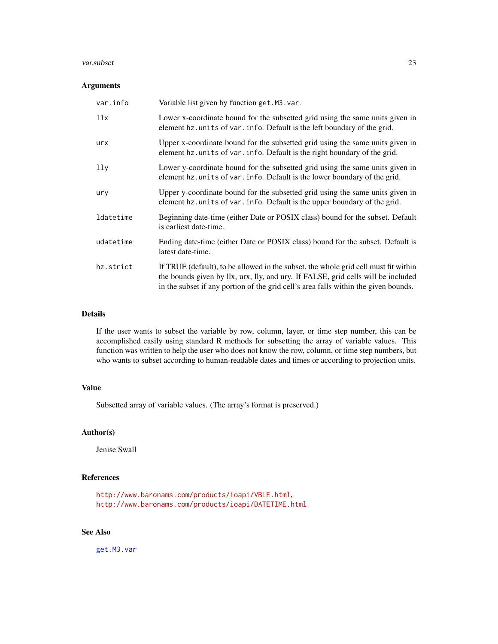#### <span id="page-22-0"></span>var.subset 23

#### Arguments

| var.info  | Variable list given by function get. M3. var.                                                                                                                                                                                                                   |
|-----------|-----------------------------------------------------------------------------------------------------------------------------------------------------------------------------------------------------------------------------------------------------------------|
| 11x       | Lower x-coordinate bound for the subsetted grid using the same units given in<br>element hz. units of var. info. Default is the left boundary of the grid.                                                                                                      |
| urx       | Upper x-coordinate bound for the subsetted grid using the same units given in<br>element hz. units of var. info. Default is the right boundary of the grid.                                                                                                     |
| 11y       | Lower y-coordinate bound for the subsetted grid using the same units given in<br>element hz. units of var. info. Default is the lower boundary of the grid.                                                                                                     |
| ury       | Upper y-coordinate bound for the subsetted grid using the same units given in<br>element hz. units of var. info. Default is the upper boundary of the grid.                                                                                                     |
| ldatetime | Beginning date-time (either Date or POSIX class) bound for the subset. Default<br>is earliest date-time.                                                                                                                                                        |
| udatetime | Ending date-time (either Date or POSIX class) bound for the subset. Default is<br>latest date-time.                                                                                                                                                             |
| hz.strict | If TRUE (default), to be allowed in the subset, the whole grid cell must fit within<br>the bounds given by llx, urx, lly, and ury. If FALSE, grid cells will be included<br>in the subset if any portion of the grid cell's area falls within the given bounds. |

#### Details

If the user wants to subset the variable by row, column, layer, or time step number, this can be accomplished easily using standard R methods for subsetting the array of variable values. This function was written to help the user who does not know the row, column, or time step numbers, but who wants to subset according to human-readable dates and times or according to projection units.

#### Value

Subsetted array of variable values. (The array's format is preserved.)

#### Author(s)

Jenise Swall

#### References

<http://www.baronams.com/products/ioapi/VBLE.html>, <http://www.baronams.com/products/ioapi/DATETIME.html>

#### See Also

[get.M3.var](#page-9-1)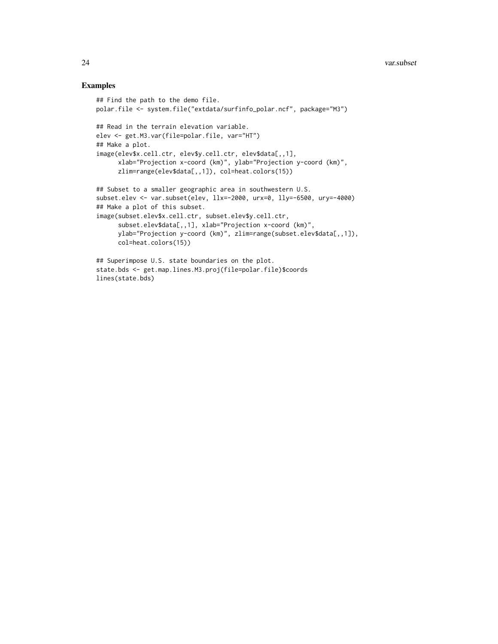#### Examples

lines(state.bds)

```
## Find the path to the demo file.
polar.file <- system.file("extdata/surfinfo_polar.ncf", package="M3")
## Read in the terrain elevation variable.
elev <- get.M3.var(file=polar.file, var="HT")
## Make a plot.
image(elev$x.cell.ctr, elev$y.cell.ctr, elev$data[,,1],
      xlab="Projection x-coord (km)", ylab="Projection y-coord (km)",
      zlim=range(elev$data[,,1]), col=heat.colors(15))
## Subset to a smaller geographic area in southwestern U.S.
subset.elev <- var.subset(elev, llx=-2000, urx=0, lly=-6500, ury=-4000)
## Make a plot of this subset.
image(subset.elev$x.cell.ctr, subset.elev$y.cell.ctr,
      subset.elev$data[,,1], xlab="Projection x-coord (km)",
      ylab="Projection y-coord (km)", zlim=range(subset.elev$data[,,1]),
      col=heat.colors(15))
## Superimpose U.S. state boundaries on the plot.
state.bds <- get.map.lines.M3.proj(file=polar.file)$coords
```